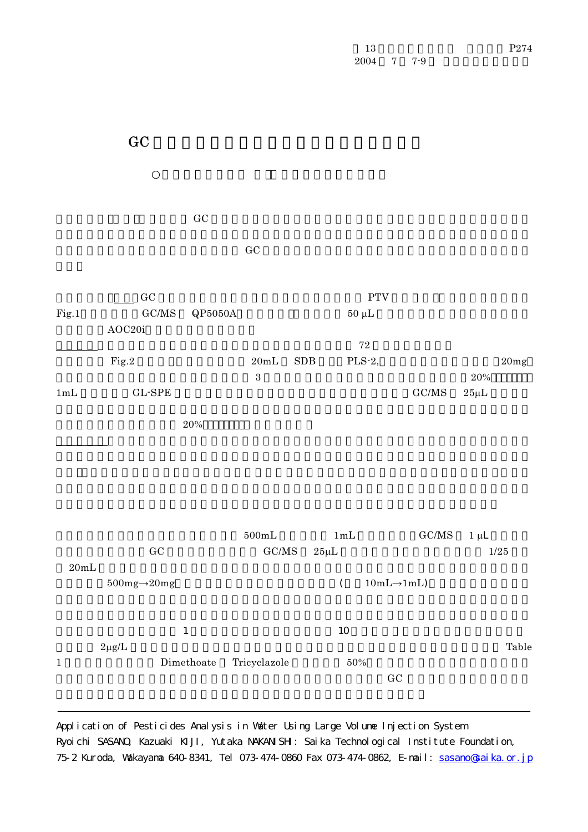| 13   |       | P274 |
|------|-------|------|
| 2004 | 7 7-9 |      |

 $\rm GC$  $\rm GC$  $\rm GC$   $\rm PTV$ Fig.1 6GC/MS QP5050A $\qquad$  50 µL AOC20i  $\sim 72$  $\text{Fig.2}$  20mL SDB PLS-2, 20mg  $3 \overline{\phantom{a}} 3$  $1 \text{mL}$   $1 \text{mL}$   $3 \text{L-SPE}$   $3 \text{mL}$   $3 \text{mL}$   $3 \text{mL}$   $3 \text{mL}$  $20\%$  $500 \text{mL}$  1 mL  $\text{GC/MS}$  1  $\mu$ L  $\rm GC$  and  $\rm GC/MS$  and  $\rm GC/MS$   $\rm Z5\mu L$  and  $\rm 1/25$  $20 \text{mL}$  $500\text{mg} \rightarrow 20\text{mg}$  (  $10\text{mL} \rightarrow 1\text{mL}$ )  $1$  here is the state of the state  $10$  $2\mu$ g/L  $\alpha$ 1 Dimethoate Tricyclazole 50%  $\rm\thinspace GCL$ 

 $\rm GC$ 

Application of Pesticides Analysis in Water Using Large Volume Injection System Ryoichi SASANO, Kazuaki KIJI, Yutaka NAKANISH: Saika Technological Institute Foundation, 75-2 Kuroda, Wakayama 640-8341, Tel 073-474-0860 Fax 073-474-0862, E-mail: sasano@saika.or.jp

P274